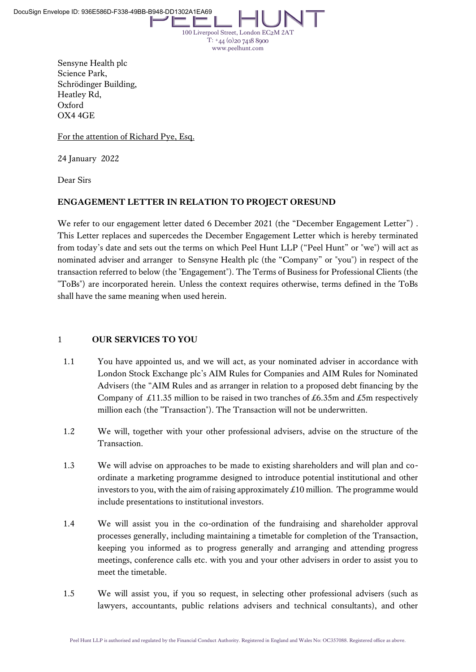100 Liverpool Street, London EC2M 2A  $T: +44$  (0) 20 7418 8900 www.peelhunt.com

Sensyne Health plc Science Park, Schrödinger Building, Heatley Rd, Oxford OX4 4GE

For the attention of Richard Pye, Esq.

24 January 2022

Dear Sirs

# **ENGAGEMENT LETTER IN RELATION TO PROJECT ORESUND**

We refer to our engagement letter dated 6 December 2021 (the "December Engagement Letter"). This Letter replaces and supercedes the December Engagement Letter which is hereby terminated from today's date and sets out the terms on which Peel Hunt LLP ("Peel Hunt" or "we") will act as nominated adviser and arranger to Sensyne Health plc (the "Company" or "you") in respect of the transaction referred to below (the "Engagement"). The Terms of Business for Professional Clients (the "ToBs") are incorporated herein. Unless the context requires otherwise, terms defined in the ToBs shall have the same meaning when used herein.

# 1 **OUR SERVICES TO YOU**

- 1.1 You have appointed us, and we will act, as your nominated adviser in accordance with London Stock Exchange plc's AIM Rules for Companies and AIM Rules for Nominated Advisers (the "AIM Rules and as arranger in relation to a proposed debt financing by the Company of £11.35 million to be raised in two tranches of £6.35m and £5m respectively million each (the "Transaction"). The Transaction will not be underwritten.
- 1.2 We will, together with your other professional advisers, advise on the structure of the Transaction.
- 1.3 We will advise on approaches to be made to existing shareholders and will plan and coordinate a marketing programme designed to introduce potential institutional and other investors to you, with the aim of raising approximately  $\pounds 10$  million. The programme would include presentations to institutional investors.
- 1.4 We will assist you in the co-ordination of the fundraising and shareholder approval processes generally, including maintaining a timetable for completion of the Transaction, keeping you informed as to progress generally and arranging and attending progress meetings, conference calls etc. with you and your other advisers in order to assist you to meet the timetable.
- 1.5 We will assist you, if you so request, in selecting other professional advisers (such as lawyers, accountants, public relations advisers and technical consultants), and other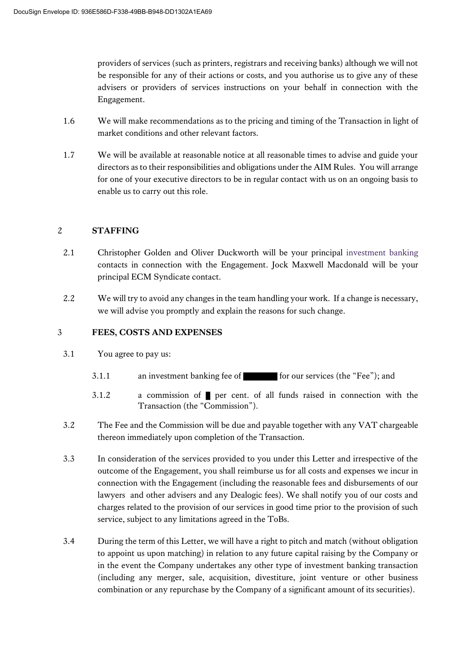providers of services (such as printers, registrars and receiving banks) although we will not be responsible for any of their actions or costs, and you authorise us to give any of these advisers or providers of services instructions on your behalf in connection with the Engagement.

- 1.6 We will make recommendations as to the pricing and timing of the Transaction in light of market conditions and other relevant factors.
- 1.7 We will be available at reasonable notice at all reasonable times to advise and guide your directors as to their responsibilities and obligations under the AIM Rules. You will arrange for one of your executive directors to be in regular contact with us on an ongoing basis to enable us to carry out this role.

# 2 **STAFFING**

- 2.1 Christopher Golden and Oliver Duckworth will be your principal investment banking contacts in connection with the Engagement. Jock Maxwell Macdonald will be your principal ECM Syndicate contact.
- 2.2 We will try to avoid any changes in the team handling your work. If a change is necessary, we will advise you promptly and explain the reasons for such change.

# 3 **FEES, COSTS AND EXPENSES**

- 3.1 You agree to pay us:
	- 3.1.1 an investment banking fee of  $\blacksquare$  for our services (the "Fee"); and
	- 3.1.2 a commission of per cent. of all funds raised in connection with the Transaction (the "Commission").
- 3.2 The Fee and the Commission will be due and payable together with any VAT chargeable thereon immediately upon completion of the Transaction.
- 3.3 In consideration of the services provided to you under this Letter and irrespective of the outcome of the Engagement, you shall reimburse us for all costs and expenses we incur in connection with the Engagement (including the reasonable fees and disbursements of our lawyers and other advisers and any Dealogic fees). We shall notify you of our costs and charges related to the provision of our services in good time prior to the provision of such service, subject to any limitations agreed in the ToBs.
- 3.4 During the term of this Letter, we will have a right to pitch and match (without obligation to appoint us upon matching) in relation to any future capital raising by the Company or in the event the Company undertakes any other type of investment banking transaction (including any merger, sale, acquisition, divestiture, joint venture or other business combination or any repurchase by the Company of a significant amount of its securities).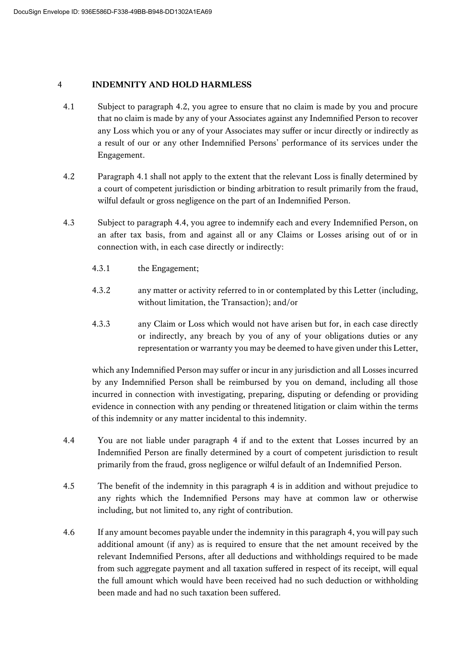# <span id="page-2-0"></span>4 **INDEMNITY AND HOLD HARMLESS**

- 4.1 Subject to paragraph 4.2, you agree to ensure that no claim is made by you and procure that no claim is made by any of your Associates against any Indemnified Person to recover any Loss which you or any of your Associates may suffer or incur directly or indirectly as a result of our or any other Indemnified Persons' performance of its services under the Engagement.
- 4.2 Paragraph 4.1 shall not apply to the extent that the relevant Loss is finally determined by a court of competent jurisdiction or binding arbitration to result primarily from the fraud, wilful default or gross negligence on the part of an Indemnified Person.
- 4.3 Subject to paragraph 4.4, you agree to indemnify each and every Indemnified Person, on an after tax basis, from and against all or any Claims or Losses arising out of or in connection with, in each case directly or indirectly:
	- 4.3.1 the Engagement;
	- 4.3.2 any matter or activity referred to in or contemplated by this Letter (including, without limitation, the Transaction); and/or
	- 4.3.3 any Claim or Loss which would not have arisen but for, in each case directly or indirectly, any breach by you of any of your obligations duties or any representation or warranty you may be deemed to have given under this Letter,

which any Indemnified Person may suffer or incur in any jurisdiction and all Losses incurred by any Indemnified Person shall be reimbursed by you on demand, including all those incurred in connection with investigating, preparing, disputing or defending or providing evidence in connection with any pending or threatened litigation or claim within the terms of this indemnity or any matter incidental to this indemnity.

- 4.4 You are not liable under paragraph [4](#page-2-0) if and to the extent that Losses incurred by an Indemnified Person are finally determined by a court of competent jurisdiction to result primarily from the fraud, gross negligence or wilful default of an Indemnified Person.
- 4.5 The benefit of the indemnity in this paragraph [4](#page-2-0) is in addition and without prejudice to any rights which the Indemnified Persons may have at common law or otherwise including, but not limited to, any right of contribution.
- 4.6 If any amount becomes payable under the indemnity in this paragrap[h 4,](#page-2-0) you will pay such additional amount (if any) as is required to ensure that the net amount received by the relevant Indemnified Persons, after all deductions and withholdings required to be made from such aggregate payment and all taxation suffered in respect of its receipt, will equal the full amount which would have been received had no such deduction or withholding been made and had no such taxation been suffered.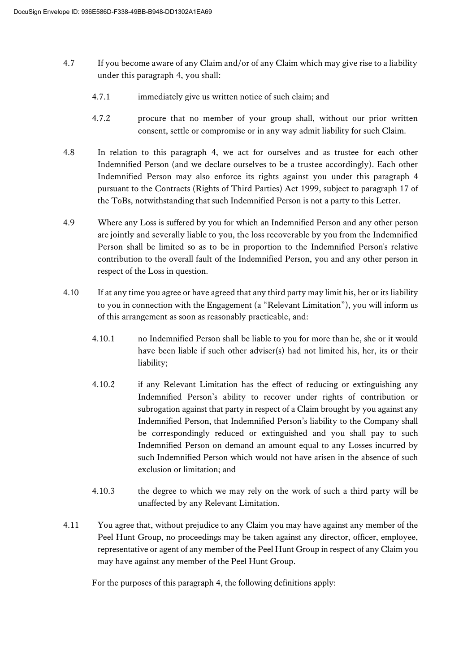- 4.7 If you become aware of any Claim and/or of any Claim which may give rise to a liability under this paragraph [4,](#page-2-0) you shall:
	- 4.7.1 immediately give us written notice of such claim; and
	- 4.7.2 procure that no member of your group shall, without our prior written consent, settle or compromise or in any way admit liability for such Claim.
- 4.8 In relation to this paragraph [4,](#page-2-0) we act for ourselves and as trustee for each other Indemnified Person (and we declare ourselves to be a trustee accordingly). Each other Indemnified Person may also enforce its rights against you under this paragraph [4](#page-2-0) pursuant to the Contracts (Rights of Third Parties) Act 1999, subject to paragraph 17 of the ToBs, notwithstanding that such Indemnified Person is not a party to this Letter.
- 4.9 Where any Loss is suffered by you for which an Indemnified Person and any other person are jointly and severally liable to you, the loss recoverable by you from the Indemnified Person shall be limited so as to be in proportion to the Indemnified Person's relative contribution to the overall fault of the Indemnified Person, you and any other person in respect of the Loss in question.
- 4.10 If at any time you agree or have agreed that any third party may limit his, her or its liability to you in connection with the Engagement (a "Relevant Limitation"), you will inform us of this arrangement as soon as reasonably practicable, and:
	- 4.10.1 no Indemnified Person shall be liable to you for more than he, she or it would have been liable if such other adviser(s) had not limited his, her, its or their liability;
	- 4.10.2 if any Relevant Limitation has the effect of reducing or extinguishing any Indemnified Person's ability to recover under rights of contribution or subrogation against that party in respect of a Claim brought by you against any Indemnified Person, that Indemnified Person's liability to the Company shall be correspondingly reduced or extinguished and you shall pay to such Indemnified Person on demand an amount equal to any Losses incurred by such Indemnified Person which would not have arisen in the absence of such exclusion or limitation; and
	- 4.10.3 the degree to which we may rely on the work of such a third party will be unaffected by any Relevant Limitation.
- 4.11 You agree that, without prejudice to any Claim you may have against any member of the Peel Hunt Group, no proceedings may be taken against any director, officer, employee, representative or agent of any member of the Peel Hunt Group in respect of any Claim you may have against any member of the Peel Hunt Group.

For the purposes of this paragraph [4,](#page-2-0) the following definitions apply: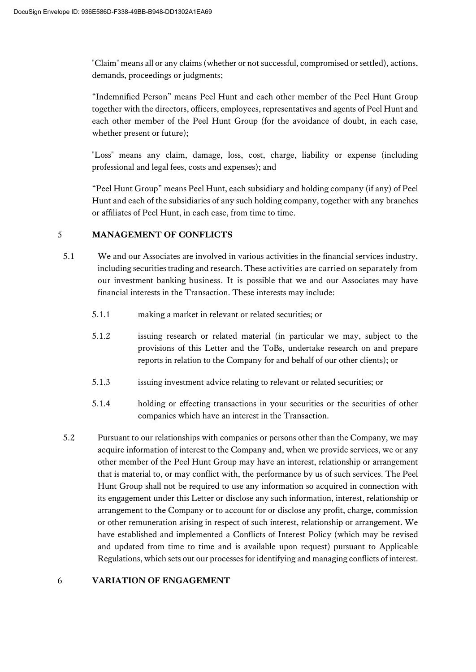"Claim" means all or any claims (whether or not successful, compromised or settled), actions, demands, proceedings or judgments;

"Indemnified Person" means Peel Hunt and each other member of the Peel Hunt Group together with the directors, officers, employees, representatives and agents of Peel Hunt and each other member of the Peel Hunt Group (for the avoidance of doubt, in each case, whether present or future);

"Loss" means any claim, damage, loss, cost, charge, liability or expense (including professional and legal fees, costs and expenses); and

"Peel Hunt Group" means Peel Hunt, each subsidiary and holding company (if any) of Peel Hunt and each of the subsidiaries of any such holding company, together with any branches or affiliates of Peel Hunt, in each case, from time to time.

# 5 **MANAGEMENT OF CONFLICTS**

- 5.1 We and our Associates are involved in various activities in the financial services industry, including securities trading and research. These activities are carried on separately from our investment banking business. It is possible that we and our Associates may have financial interests in the Transaction. These interests may include:
	- 5.1.1 making a market in relevant or related securities; or
	- 5.1.2 issuing research or related material (in particular we may, subject to the provisions of this Letter and the ToBs, undertake research on and prepare reports in relation to the Company for and behalf of our other clients); or
	- 5.1.3 issuing investment advice relating to relevant or related securities; or
	- 5.1.4 holding or effecting transactions in your securities or the securities of other companies which have an interest in the Transaction.
- 5.2 Pursuant to our relationships with companies or persons other than the Company, we may acquire information of interest to the Company and, when we provide services, we or any other member of the Peel Hunt Group may have an interest, relationship or arrangement that is material to, or may conflict with, the performance by us of such services. The Peel Hunt Group shall not be required to use any information so acquired in connection with its engagement under this Letter or disclose any such information, interest, relationship or arrangement to the Company or to account for or disclose any profit, charge, commission or other remuneration arising in respect of such interest, relationship or arrangement. We have established and implemented a Conflicts of Interest Policy (which may be revised and updated from time to time and is available upon request) pursuant to Applicable Regulations, which sets out our processes for identifying and managing conflicts of interest.

#### 6 **VARIATION OF ENGAGEMENT**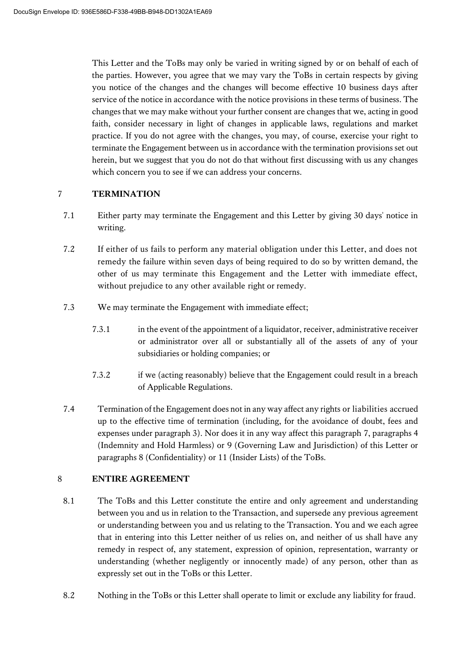This Letter and the ToBs may only be varied in writing signed by or on behalf of each of the parties. However, you agree that we may vary the ToBs in certain respects by giving you notice of the changes and the changes will become effective 10 business days after service of the notice in accordance with the notice provisions in these terms of business. The changes that we may make without your further consent are changes that we, acting in good faith, consider necessary in light of changes in applicable laws, regulations and market practice. If you do not agree with the changes, you may, of course, exercise your right to terminate the Engagement between us in accordance with the termination provisions set out herein, but we suggest that you do not do that without first discussing with us any changes which concern you to see if we can address your concerns.

# <span id="page-5-0"></span>7 **TERMINATION**

- 7.1 Either party may terminate the Engagement and this Letter by giving 30 days' notice in writing.
- 7.2 If either of us fails to perform any material obligation under this Letter, and does not remedy the failure within seven days of being required to do so by written demand, the other of us may terminate this Engagement and the Letter with immediate effect, without prejudice to any other available right or remedy.
- 7.3 We may terminate the Engagement with immediate effect;
	- 7.3.1 in the event of the appointment of a liquidator, receiver, administrative receiver or administrator over all or substantially all of the assets of any of your subsidiaries or holding companies; or
	- 7.3.2 if we (acting reasonably) believe that the Engagement could result in a breach of Applicable Regulations.
- 7.4 Termination of the Engagement does not in any way affect any rights or liabilities accrued up to the effective time of termination (including, for the avoidance of doubt, fees and expenses under paragraph 3). Nor does it in any way affect this paragraph [7,](#page-5-0) paragraphs [4](#page-2-0) (Indemnity and Hold Harmless) or [9](#page-6-0) (Governing Law and Jurisdiction) of this Letter or paragraphs 8 (Confidentiality) or 11 (Insider Lists) of the ToBs.

# 8 **ENTIRE AGREEMENT**

- 8.1 The ToBs and this Letter constitute the entire and only agreement and understanding between you and us in relation to the Transaction, and supersede any previous agreement or understanding between you and us relating to the Transaction. You and we each agree that in entering into this Letter neither of us relies on, and neither of us shall have any remedy in respect of, any statement, expression of opinion, representation, warranty or understanding (whether negligently or innocently made) of any person, other than as expressly set out in the ToBs or this Letter.
- 8.2 Nothing in the ToBs or this Letter shall operate to limit or exclude any liability for fraud.